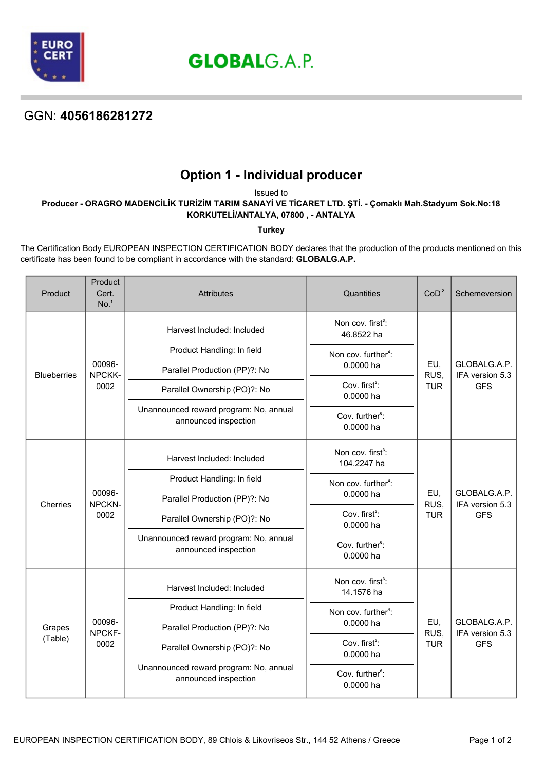

**GLOBALG.A.P.** 

## GGN: **4056186281272**

# **Option 1 - Individual producer**

Issued to

**Producer - ORAGRO MADENCİLİK TURİZİM TARIM SANAYİ VE TİCARET LTD. ŞTİ. - Çomaklı Mah.Stadyum Sok.No:18 KORKUTELİ/ANTALYA, 07800 , - ANTALYA**

**Turkey**

The Certification Body EUROPEAN INSPECTION CERTIFICATION BODY declares that the production of the products mentioned on this certificate has been found to be compliant in accordance with the standard: **GLOBALG.A.P.**

| Product            | Product<br>Cert.<br>No. <sup>1</sup> | <b>Attributes</b>                                              | Quantities                                                                             | CoD <sup>2</sup>          | Schemeversion                                 |
|--------------------|--------------------------------------|----------------------------------------------------------------|----------------------------------------------------------------------------------------|---------------------------|-----------------------------------------------|
| <b>Blueberries</b> | 00096-<br>NPCKK-<br>0002             | Harvest Included: Included                                     | Non cov. first <sup>3</sup> :<br>46.8522 ha                                            |                           | GLOBALG.A.P.<br>IFA version 5.3<br><b>GFS</b> |
|                    |                                      | Product Handling: In field                                     | Non cov. further <sup>4</sup> :                                                        | EU,<br>RUS,<br><b>TUR</b> |                                               |
|                    |                                      | Parallel Production (PP)?: No                                  | $0.0000$ ha                                                                            |                           |                                               |
|                    |                                      | Parallel Ownership (PO)?: No                                   | Cov. first <sup>5</sup> :<br>0.0000 ha                                                 |                           |                                               |
|                    |                                      | Unannounced reward program: No, annual<br>announced inspection | Cov. further <sup>6</sup> :<br>0.0000 ha                                               |                           |                                               |
| Cherries           | 00096-<br>NPCKN-<br>0002             | Harvest Included: Included                                     | Non cov. first <sup>3</sup> :<br>104.2247 ha                                           | EU,<br>RUS,<br><b>TUR</b> | GLOBALG.A.P.<br>IFA version 5.3<br><b>GFS</b> |
|                    |                                      | Product Handling: In field                                     | Non cov. further <sup>4</sup> :<br>0.0000 ha                                           |                           |                                               |
|                    |                                      | Parallel Production (PP)?: No                                  |                                                                                        |                           |                                               |
|                    |                                      | Parallel Ownership (PO)?: No                                   | Cov. first <sup>5</sup> :<br>0.0000 ha                                                 |                           |                                               |
|                    |                                      | Unannounced reward program: No, annual<br>announced inspection | Cov. further <sup>6</sup> :<br>0.0000 ha                                               |                           |                                               |
| Grapes<br>(Table)  | 00096-<br>NPCKF-<br>0002             | Harvest Included: Included                                     | Non cov. first <sup>3</sup> :<br>14.1576 ha                                            | EU,<br>RUS,               | GLOBALG.A.P.<br>IFA version 5.3<br><b>GFS</b> |
|                    |                                      | Product Handling: In field                                     | Non cov. further <sup>4</sup> :<br>0.0000 ha<br>Cov. first <sup>5</sup> :<br>0.0000 ha |                           |                                               |
|                    |                                      | Parallel Production (PP)?: No                                  |                                                                                        |                           |                                               |
|                    |                                      | Parallel Ownership (PO)?: No                                   |                                                                                        | <b>TUR</b>                |                                               |
|                    |                                      | Unannounced reward program: No, annual<br>announced inspection | Cov. further <sup>6</sup> :<br>0.0000 ha                                               |                           |                                               |